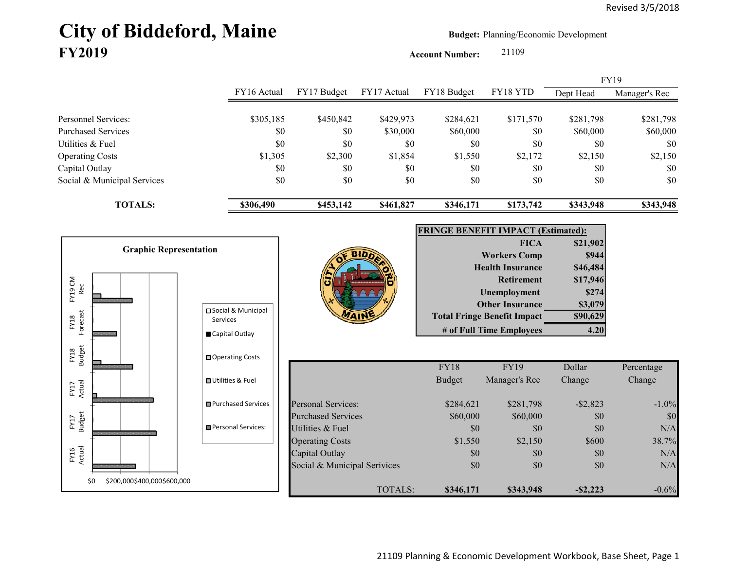# City of Biddeford, Maine **Budget:** Planning/Economic Development **FY2019**

**Account Number:** 21109

FY16 Actual FY17 Budget FY17 Actual FY18 Budget FY18 YTD Dept Head Manager's Rec Personnel Services: \$305,185 \$450,842 \$429,973 \$284,621 \$171,570 \$281,798 \$281,798 Purchased Services \$0 \$0 \$30,000 \$60,000 \$0 \$60,000 \$60,000 Utilities & Fuel \$0 \$0 \$0 \$0 \$0 \$0 \$0 Operating Costs 62,150 \$1,305 \$1,305 \$2,300 \$1,854 \$1,550 \$2,172 \$2,150 \$2,150 \$2,150 Capital Outlay \$0 \$0 \$0 \$0 \$0 \$0 Social & Municipal Services \$0 \$0 \$0 \$0 \$0 \$0 \$0 **TOTALS: \$306,490 \$453,142 \$461,827 \$346,171 \$173,742 \$343,948 \$343,948** FY19

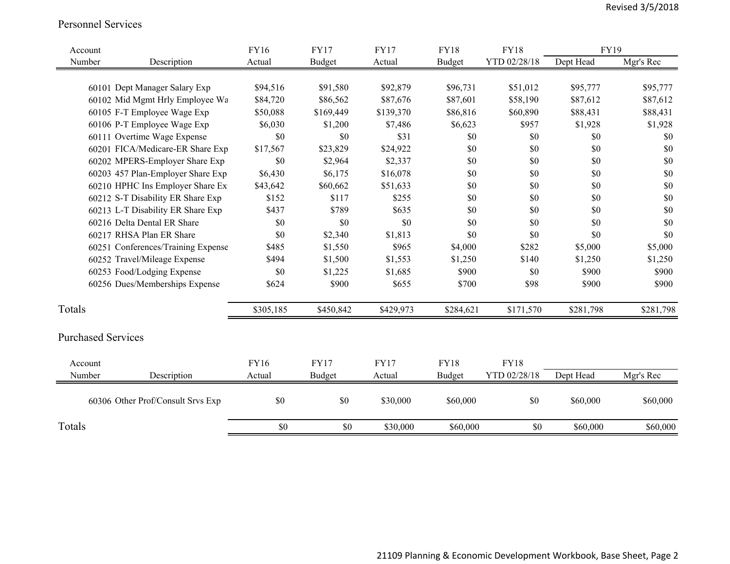#### Personnel Services

| Account                   |                                    | <b>FY16</b> | <b>FY17</b>   | <b>FY17</b> | <b>FY18</b>   | <b>FY18</b>  | FY19      |           |
|---------------------------|------------------------------------|-------------|---------------|-------------|---------------|--------------|-----------|-----------|
| Number                    | Description                        | Actual      | <b>Budget</b> | Actual      | <b>Budget</b> | YTD 02/28/18 | Dept Head | Mgr's Rec |
|                           |                                    |             |               |             |               |              |           |           |
|                           | 60101 Dept Manager Salary Exp      | \$94,516    | \$91,580      | \$92,879    | \$96,731      | \$51,012     | \$95,777  | \$95,777  |
|                           | 60102 Mid Mgmt Hrly Employee Wa    | \$84,720    | \$86,562      | \$87,676    | \$87,601      | \$58,190     | \$87,612  | \$87,612  |
|                           | 60105 F-T Employee Wage Exp        | \$50,088    | \$169,449     | \$139,370   | \$86,816      | \$60,890     | \$88,431  | \$88,431  |
|                           | 60106 P-T Employee Wage Exp        | \$6,030     | \$1,200       | \$7,486     | \$6,623       | \$957        | \$1,928   | \$1,928   |
|                           | 60111 Overtime Wage Expense        | \$0         | \$0           | \$31        | \$0           | \$0          | \$0       | \$0       |
|                           | 60201 FICA/Medicare-ER Share Exp   | \$17,567    | \$23,829      | \$24,922    | \$0           | \$0          | \$0       | \$0       |
|                           | 60202 MPERS-Employer Share Exp     | \$0         | \$2,964       | \$2,337     | \$0           | \$0          | \$0       | \$0       |
|                           | 60203 457 Plan-Employer Share Exp  | \$6,430     | \$6,175       | \$16,078    | \$0           | \$0          | \$0       | \$0       |
|                           | 60210 HPHC Ins Employer Share Ex   | \$43,642    | \$60,662      | \$51,633    | \$0           | \$0          | \$0       | \$0       |
|                           | 60212 S-T Disability ER Share Exp  | \$152       | \$117         | \$255       | \$0           | \$0          | \$0       | \$0       |
|                           | 60213 L-T Disability ER Share Exp  | \$437       | \$789         | \$635       | \$0           | \$0          | \$0       | \$0       |
|                           | 60216 Delta Dental ER Share        | \$0         | \$0           | \$0         | \$0           | \$0          | \$0       | \$0       |
|                           | 60217 RHSA Plan ER Share           | \$0         | \$2,340       | \$1,813     | \$0           | \$0          | \$0       | \$0       |
|                           | 60251 Conferences/Training Expense | \$485       | \$1,550       | \$965       | \$4,000       | \$282        | \$5,000   | \$5,000   |
|                           | 60252 Travel/Mileage Expense       | \$494       | \$1,500       | \$1,553     | \$1,250       | \$140        | \$1,250   | \$1,250   |
|                           | 60253 Food/Lodging Expense         | \$0         | \$1,225       | \$1,685     | \$900         | \$0          | \$900     | \$900     |
|                           | 60256 Dues/Memberships Expense     | \$624       | \$900         | \$655       | \$700         | \$98         | \$900     | \$900     |
| Totals                    |                                    | \$305,185   | \$450,842     | \$429,973   | \$284,621     | \$171,570    | \$281,798 | \$281,798 |
|                           |                                    |             |               |             |               |              |           |           |
| <b>Purchased Services</b> |                                    |             |               |             |               |              |           |           |
| Account                   |                                    | <b>FY16</b> | <b>FY17</b>   | <b>FY17</b> | <b>FY18</b>   | <b>FY18</b>  |           |           |
| Number                    | Description                        | Actual      | Budget        | Actual      | <b>Budget</b> | YTD 02/28/18 | Dept Head | Mgr's Rec |
|                           | 60306 Other Prof/Consult Srvs Exp  | \$0         | \$0           | \$30,000    | \$60,000      | \$0          | \$60,000  | \$60,000  |
| Totals                    |                                    | \$0         | \$0           | \$30,000    | \$60,000      | \$0          | \$60,000  | \$60,000  |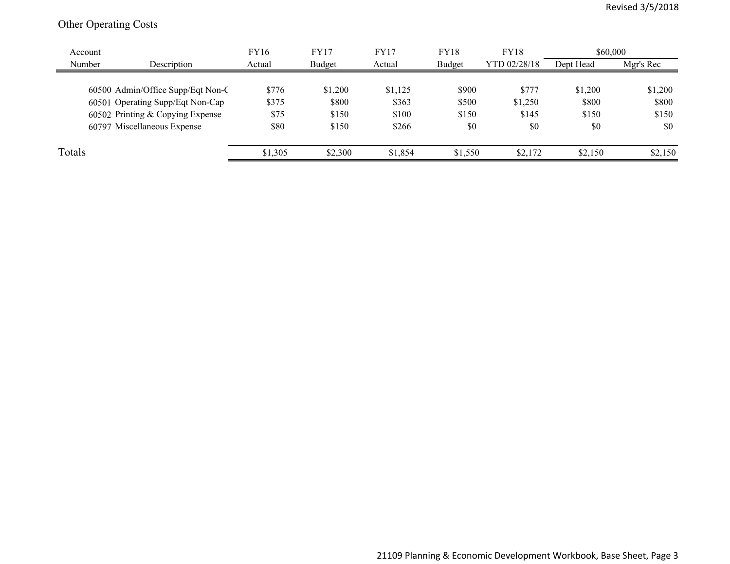## Other Operating Costs

| Account |                                   | <b>FY16</b> | <b>FY17</b> | <b>FY17</b> | <b>FY18</b> | <b>FY18</b>  | \$60,000  |           |
|---------|-----------------------------------|-------------|-------------|-------------|-------------|--------------|-----------|-----------|
| Number  | Description                       | Actual      | Budget      | Actual      | Budget      | YTD 02/28/18 | Dept Head | Mgr's Rec |
|         |                                   |             |             |             |             |              |           |           |
|         | 60500 Admin/Office Supp/Eqt Non-C | \$776       | \$1,200     | \$1,125     | \$900       | \$777        | \$1,200   | \$1,200   |
|         | 60501 Operating Supp/Eqt Non-Cap  | \$375       | \$800       | \$363       | \$500       | \$1,250      | \$800     | \$800     |
|         | 60502 Printing & Copying Expense  | \$75        | \$150       | \$100       | \$150       | \$145        | \$150     | \$150     |
|         | 60797 Miscellaneous Expense       | \$80        | \$150       | \$266       | \$0         | \$0          | \$0       | \$0       |
| Totals  |                                   | \$1,305     | \$2,300     | \$1,854     | \$1,550     | \$2,172      | \$2,150   | \$2,150   |
|         |                                   |             |             |             |             |              |           |           |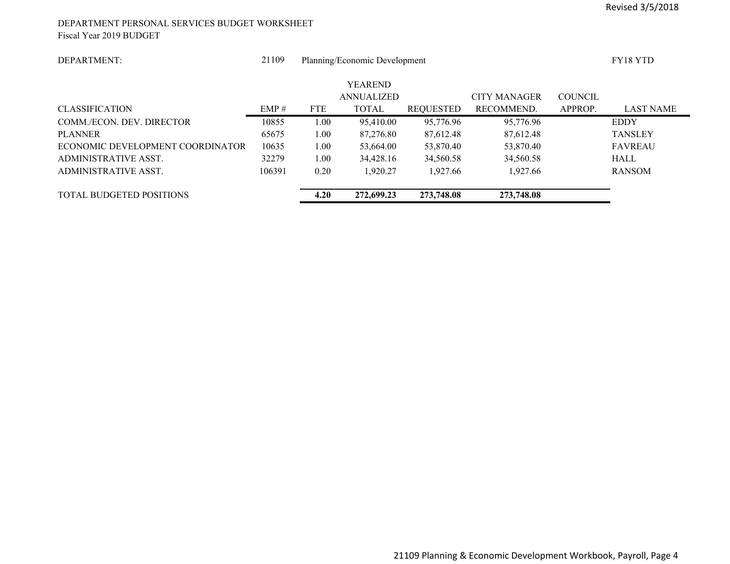#### DEPARTMENT PERSONAL SERVICES BUDGET WORKSHEET Fiscal Year 2019 BUDGET

| DEPARTMENT:                      | 21109  |            | Planning/Economic Development |                  |                     |                | <b>FY18 YTD</b>  |
|----------------------------------|--------|------------|-------------------------------|------------------|---------------------|----------------|------------------|
|                                  |        |            | <b>YEAREND</b>                |                  |                     |                |                  |
|                                  |        |            | <b>ANNUALIZED</b>             |                  | <b>CITY MANAGER</b> | <b>COUNCIL</b> |                  |
| <b>CLASSIFICATION</b>            | EMP#   | <b>FTE</b> | <b>TOTAL</b>                  | <b>REQUESTED</b> | RECOMMEND.          | APPROP.        | <b>LAST NAME</b> |
| COMM./ECON. DEV. DIRECTOR        | 10855  | 1.00       | 95,410.00                     | 95,776.96        | 95,776.96           |                | <b>EDDY</b>      |
| <b>PLANNER</b>                   | 65675  | 1.00       | 87,276.80                     | 87.612.48        | 87.612.48           |                | <b>TANSLEY</b>   |
| ECONOMIC DEVELOPMENT COORDINATOR | 10635  | 1.00       | 53,664.00                     | 53,870.40        | 53,870.40           |                | <b>FAVREAU</b>   |
| ADMINISTRATIVE ASST.             | 32279  | 1.00       | 34,428.16                     | 34,560.58        | 34,560.58           |                | <b>HALL</b>      |
| ADMINISTRATIVE ASST.             | 106391 | 0.20       | 1.920.27                      | 1.927.66         | 1,927.66            |                | <b>RANSOM</b>    |
|                                  |        |            |                               |                  |                     |                |                  |
| <b>TOTAL BUDGETED POSITIONS</b>  |        | 4.20       | 272,699.23                    | 273,748.08       | 273,748.08          |                |                  |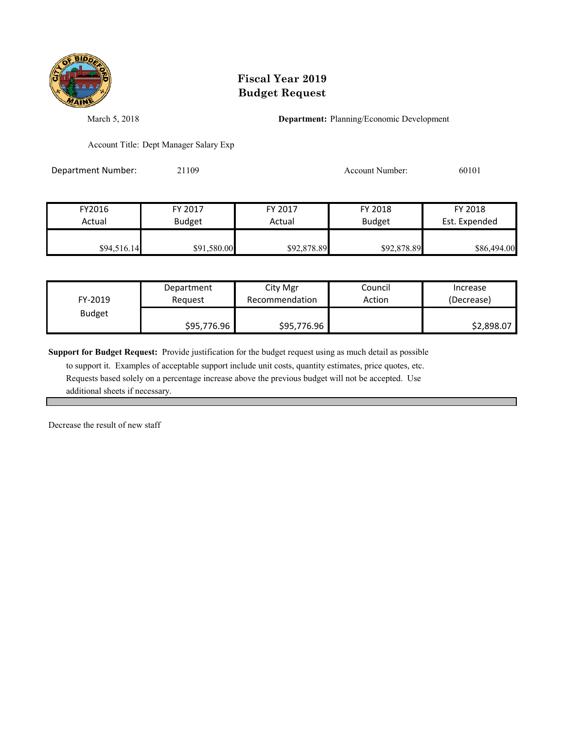

March 5, 2018 **Department:** Planning/Economic Development

Account Title: Dept Manager Salary Exp

Department Number: 21109 20101 20101 Account Number: 60101

| FY2016      | FY 2017       | FY 2017     | FY 2018       | FY 2018       |
|-------------|---------------|-------------|---------------|---------------|
| Actual      | <b>Budget</b> | Actual      | <b>Budget</b> | Est. Expended |
| \$94,516.14 | \$91,580.00   | \$92,878.89 | \$92,878.89   | \$86,494.00   |

| FY-2019       | Department  | City Mgr       | Council | Increase   |
|---------------|-------------|----------------|---------|------------|
|               | Reauest     | Recommendation | Action  | (Decrease) |
| <b>Budget</b> | \$95,776.96 | \$95,776.96    |         | \$2,898.07 |

**Support for Budget Request:** Provide justification for the budget request using as much detail as possible

 to support it. Examples of acceptable support include unit costs, quantity estimates, price quotes, etc. Requests based solely on a percentage increase above the previous budget will not be accepted. Use additional sheets if necessary.

Decrease the result of new staff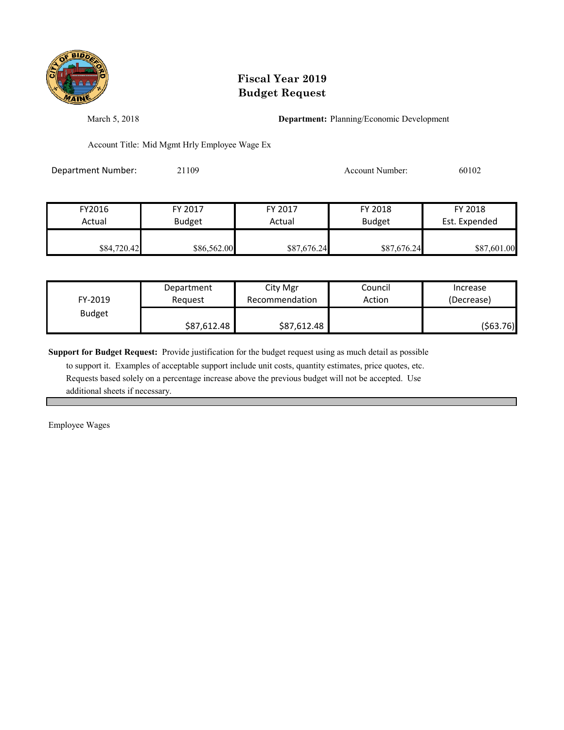

March 5, 2018 **Department:** Planning/Economic Development

Account Title: Mid Mgmt Hrly Employee Wage Ex

Department Number: 21109 20102 20102 Account Number: 60102

| FY2016      | FY 2017       | FY 2017     | FY 2018       | FY 2018       |
|-------------|---------------|-------------|---------------|---------------|
| Actual      | <b>Budget</b> | Actual      | <b>Budget</b> | Est. Expended |
| \$84,720.42 | \$86,562.00   | \$87,676.24 | \$87,676.24   | \$87,601.00   |

| FY-2019       | Department  | City Mgr       | Council | Increase   |
|---------------|-------------|----------------|---------|------------|
|               | Reauest     | Recommendation | Action  | (Decrease) |
| <b>Budget</b> | \$87,612.48 | \$87,612.48    |         | (\$63.76)  |

**Support for Budget Request:** Provide justification for the budget request using as much detail as possible

 to support it. Examples of acceptable support include unit costs, quantity estimates, price quotes, etc. Requests based solely on a percentage increase above the previous budget will not be accepted. Use additional sheets if necessary.

Employee Wages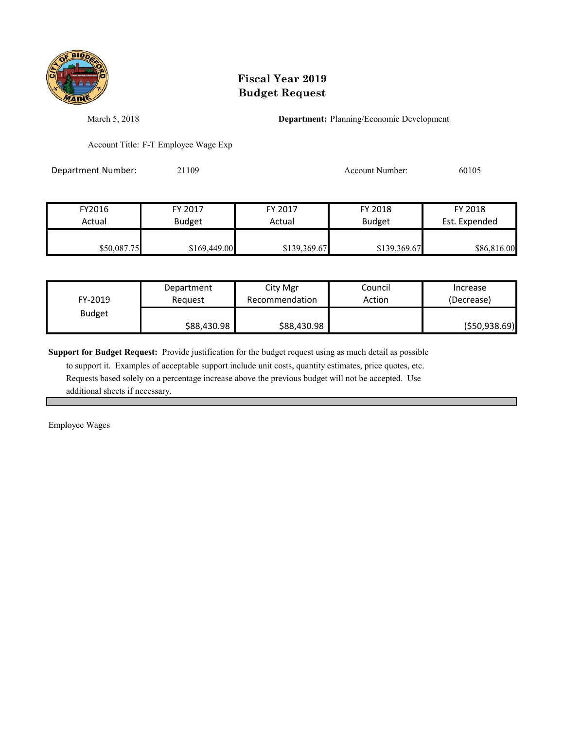

March 5, 2018 **Department:** Planning/Economic Development

Account Title: F-T Employee Wage Exp

Department Number: 21109 20105 20105

| FY2016      | FY 2017       | FY 2017      | FY 2018      | FY 2018       |
|-------------|---------------|--------------|--------------|---------------|
| Actual      | <b>Budget</b> | Actual       | Budget       | Est. Expended |
| \$50,087.75 | \$169,449.00  | \$139,369.67 | \$139,369.67 | \$86,816.00   |

| FY-2019       | Department  | City Mgr       | Council | Increase       |
|---------------|-------------|----------------|---------|----------------|
|               | Reauest     | Recommendation | Action  | (Decrease)     |
| <b>Budget</b> | \$88,430.98 | \$88,430.98    |         | ( \$50,938.69) |

**Support for Budget Request:** Provide justification for the budget request using as much detail as possible

 to support it. Examples of acceptable support include unit costs, quantity estimates, price quotes, etc. Requests based solely on a percentage increase above the previous budget will not be accepted. Use additional sheets if necessary.

Employee Wages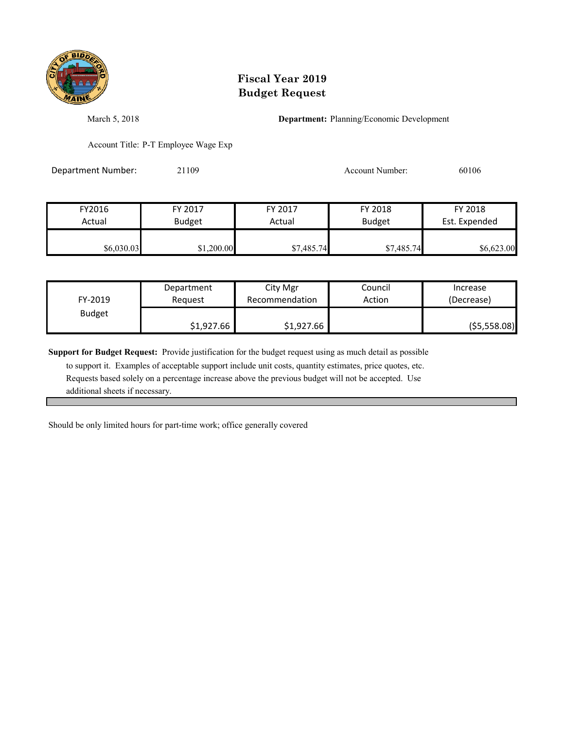

March 5, 2018 **Department:** Planning/Economic Development

Account Title: P-T Employee Wage Exp

Department Number: 21109 Account Number: 60106

FY2016 FY 2017 FY 2017 FY 2018 FY 2018 Actual Budget **Actual Budget** Actual Budget Est. Expended \$6,030.03 \$1,200.00 \$7,485.74 \$7,485.74 \$6,623.00

| FY-2019       | Department | City Mgr       | Council | Increase      |
|---------------|------------|----------------|---------|---------------|
|               | Reauest    | Recommendation | Action  | (Decrease)    |
| <b>Budget</b> | \$1,927.66 | \$1,927.66     |         | ( \$5,558.08) |

**Support for Budget Request:** Provide justification for the budget request using as much detail as possible

 to support it. Examples of acceptable support include unit costs, quantity estimates, price quotes, etc. Requests based solely on a percentage increase above the previous budget will not be accepted. Use additional sheets if necessary.

Should be only limited hours for part-time work; office generally covered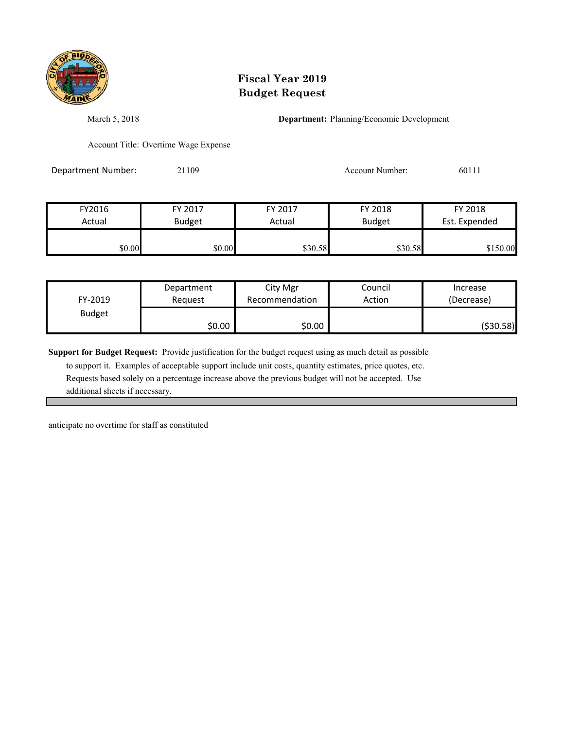

March 5, 2018 **Department:** Planning/Economic Development

Account Title: Overtime Wage Expense

Department Number: 21109 2010 2010 Account Number: 60111

| FY2016 | FY 2017       | FY 2017 | FY 2018       | FY 2018       |
|--------|---------------|---------|---------------|---------------|
| Actual | <b>Budget</b> | Actual  | <b>Budget</b> | Est. Expended |
|        |               |         |               |               |
| \$0.00 | \$0.00        | \$30.58 | \$30.58       | \$150.00      |

| FY-2019       | Department | City Mgr       | Council | Increase   |
|---------------|------------|----------------|---------|------------|
|               | Reauest    | Recommendation | Action  | (Decrease) |
| <b>Budget</b> | \$0.00     | \$0.00         |         | (\$30.58)  |

**Support for Budget Request:** Provide justification for the budget request using as much detail as possible

 to support it. Examples of acceptable support include unit costs, quantity estimates, price quotes, etc. Requests based solely on a percentage increase above the previous budget will not be accepted. Use additional sheets if necessary.

anticipate no overtime for staff as constituted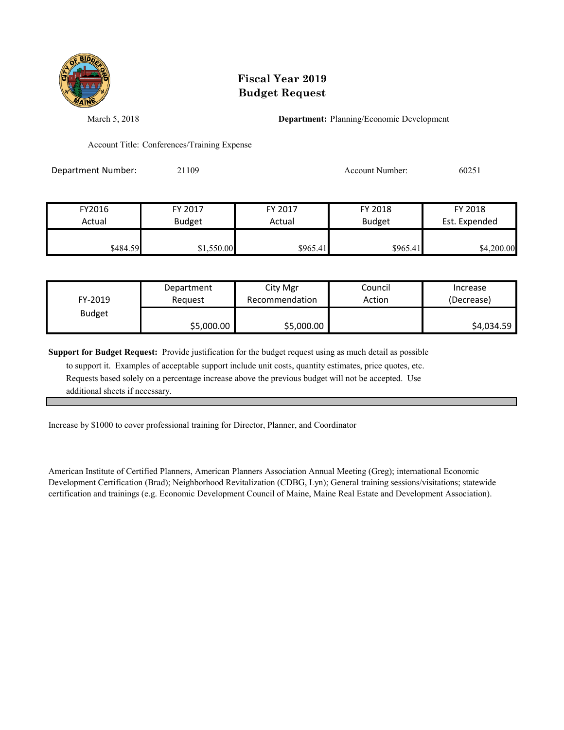

March 5, 2018 **Department:** Planning/Economic Development

Account Title: Conferences/Training Expense

Department Number: 21109 Account Number: 60251

| FY2016<br>Actual | FY 2017       | FY 2017<br>Actual | FY 2018       | FY 2018       |
|------------------|---------------|-------------------|---------------|---------------|
|                  | <b>Budget</b> |                   | <b>Budget</b> | Est. Expended |
| \$484.59         | \$1,550.00    | \$965.41          | \$965.41      | \$4,200.00    |

| FY-2019       | Department | City Mgr       | Council | Increase   |
|---------------|------------|----------------|---------|------------|
|               | Reauest    | Recommendation | Action  | (Decrease) |
| <b>Budget</b> | \$5,000.00 | \$5,000.00     |         | \$4,034.59 |

**Support for Budget Request:** Provide justification for the budget request using as much detail as possible

 to support it. Examples of acceptable support include unit costs, quantity estimates, price quotes, etc. Requests based solely on a percentage increase above the previous budget will not be accepted. Use additional sheets if necessary.

Increase by \$1000 to cover professional training for Director, Planner, and Coordinator

American Institute of Certified Planners, American Planners Association Annual Meeting (Greg); international Economic Development Certification (Brad); Neighborhood Revitalization (CDBG, Lyn); General training sessions/visitations; statewide certification and trainings (e.g. Economic Development Council of Maine, Maine Real Estate and Development Association).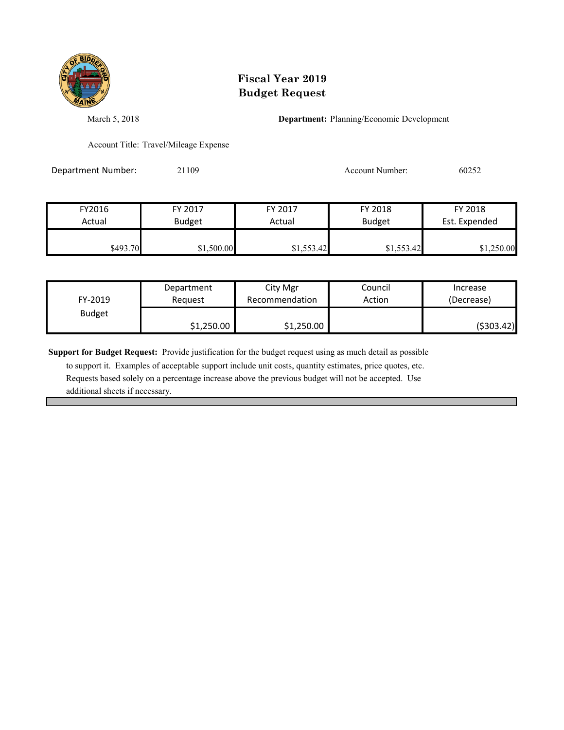

March 5, 2018 **Department:** Planning/Economic Development

Account Title: Travel/Mileage Expense

Department Number: 21109 20052 2010 2010 Account Number: 60252

| FY2016   | FY 2017       | FY 2017    | FY 2018       | FY 2018       |
|----------|---------------|------------|---------------|---------------|
| Actual   | <b>Budget</b> | Actual     | <b>Budget</b> | Est. Expended |
| \$493.70 | \$1,500.00    | \$1,553.42 | \$1,553.42    | \$1,250.00    |

| FY-2019       | Department | City Mgr       | Council | Increase    |
|---------------|------------|----------------|---------|-------------|
|               | Reauest    | Recommendation | Action  | (Decrease)  |
| <b>Budget</b> | \$1,250.00 | \$1,250.00     |         | ( \$303.42) |

**Support for Budget Request:** Provide justification for the budget request using as much detail as possible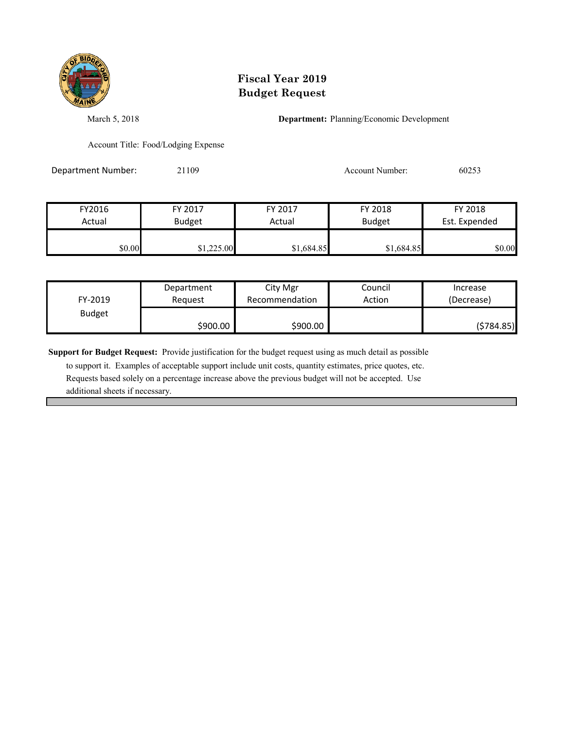

March 5, 2018 **Department:** Planning/Economic Development

Account Title: Food/Lodging Expense

Department Number: 21109 20053 Account Number: 60253

| FY2016 | FY 2017       | FY 2017    | FY 2018       | FY 2018       |
|--------|---------------|------------|---------------|---------------|
| Actual | <b>Budget</b> | Actual     | <b>Budget</b> | Est. Expended |
|        |               |            |               |               |
| \$0.00 | \$1,225.00    | \$1,684.85 | \$1,684.85    | \$0.00        |

| FY-2019       | Department | City Mgr       | Council | Increase   |
|---------------|------------|----------------|---------|------------|
|               | Reauest    | Recommendation | Action  | (Decrease) |
| <b>Budget</b> | \$900.00   | \$900.00       |         | (5784.85)  |

**Support for Budget Request:** Provide justification for the budget request using as much detail as possible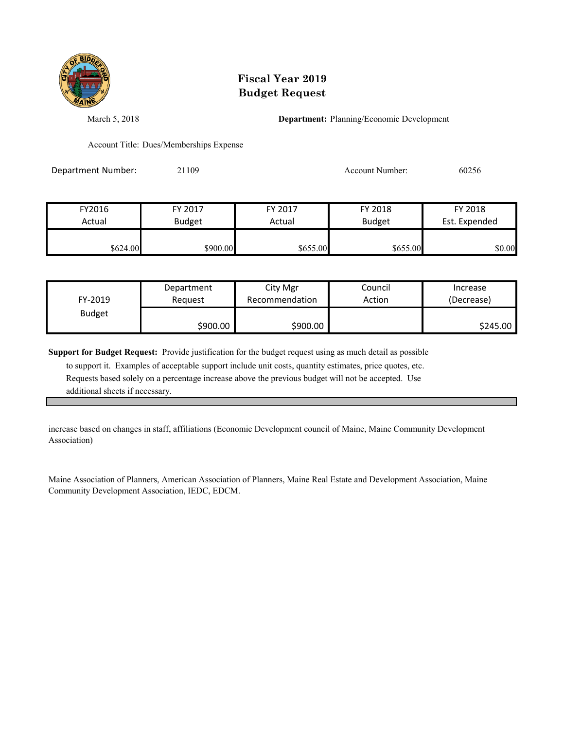

March 5, 2018 **Department:** Planning/Economic Development

Account Title: Dues/Memberships Expense

Department Number: 21109 Account Number: 60256

| FY2016   | FY 2017       | FY 2017  | FY 2018       | FY 2018       |
|----------|---------------|----------|---------------|---------------|
| Actual   | <b>Budget</b> | Actual   | <b>Budget</b> | Est. Expended |
| \$624.00 | \$900.00      | \$655.00 | \$655.00      | \$0.00        |

| FY-2019       | Department | City Mgr       | Council | Increase   |
|---------------|------------|----------------|---------|------------|
|               | Reauest    | Recommendation | Action  | (Decrease) |
| <b>Budget</b> | \$900.00   | \$900.00       |         | \$245.00   |

**Support for Budget Request:** Provide justification for the budget request using as much detail as possible

 to support it. Examples of acceptable support include unit costs, quantity estimates, price quotes, etc. Requests based solely on a percentage increase above the previous budget will not be accepted. Use additional sheets if necessary.

increase based on changes in staff, affiliations (Economic Development council of Maine, Maine Community Development Association)

Maine Association of Planners, American Association of Planners, Maine Real Estate and Development Association, Maine Community Development Association, IEDC, EDCM.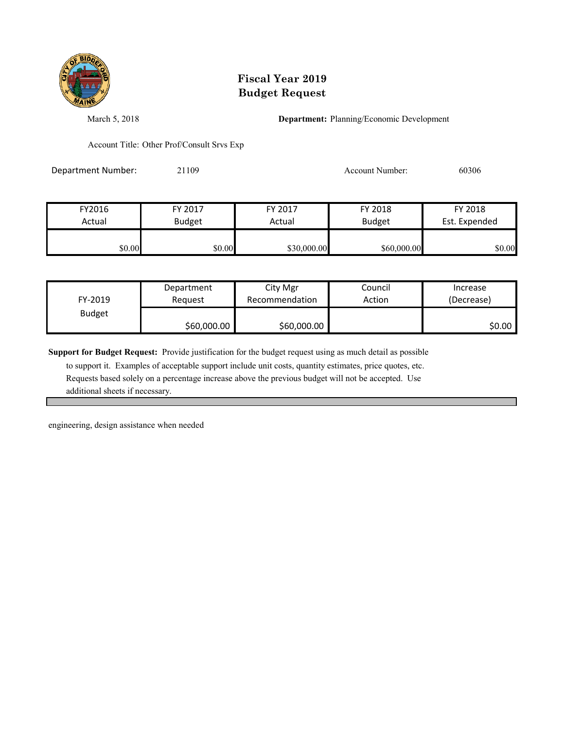

March 5, 2018 **Department:** Planning/Economic Development

Account Title: Other Prof/Consult Srvs Exp

Department Number: 21109 2006 2006 2010 Account Number: 60306

| FY2016 | FY 2017       | FY 2017     | FY 2018       | FY 2018       |
|--------|---------------|-------------|---------------|---------------|
| Actual | <b>Budget</b> | Actual      | <b>Budget</b> | Est. Expended |
|        |               |             |               |               |
| \$0.00 | \$0.00        | \$30,000.00 | \$60,000.00   | \$0.00        |

| FY-2019       | Department  | City Mgr       | Council | Increase   |
|---------------|-------------|----------------|---------|------------|
|               | Reauest     | Recommendation | Action  | (Decrease) |
| <b>Budget</b> | \$60,000.00 | \$60,000.00    |         | \$0.00     |

**Support for Budget Request:** Provide justification for the budget request using as much detail as possible

 to support it. Examples of acceptable support include unit costs, quantity estimates, price quotes, etc. Requests based solely on a percentage increase above the previous budget will not be accepted. Use additional sheets if necessary.

engineering, design assistance when needed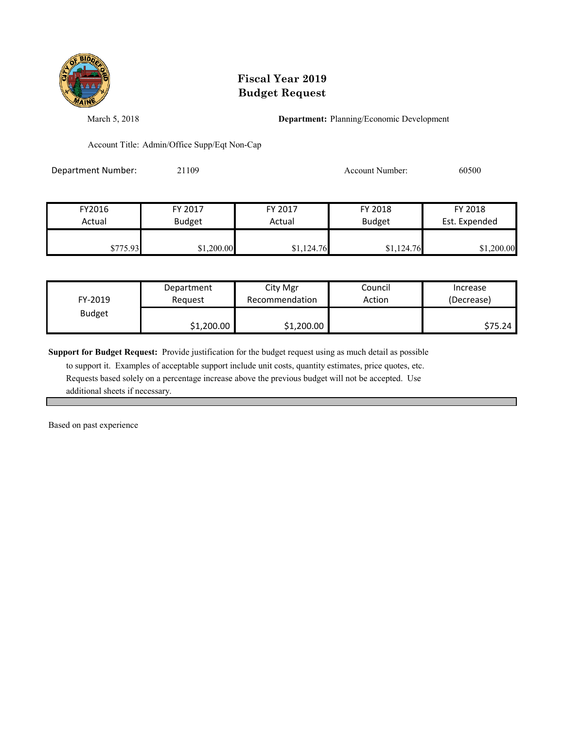

March 5, 2018 **Department:** Planning/Economic Development

Account Title: Admin/Office Supp/Eqt Non-Cap

Department Number: 21109 2010 2010 2010 Account Number: 60500

| FY2016   | FY 2017       | FY 2017    | FY 2018       | FY 2018       |
|----------|---------------|------------|---------------|---------------|
| Actual   | <b>Budget</b> | Actual     | <b>Budget</b> | Est. Expended |
| \$775.93 | \$1,200.00    | \$1,124.76 | \$1,124.76    | \$1,200.00    |

| FY-2019       | Department | City Mgr       | Council | Increase   |
|---------------|------------|----------------|---------|------------|
|               | Reauest    | Recommendation | Action  | (Decrease) |
| <b>Budget</b> | \$1,200.00 | \$1,200.00     |         | \$75.24    |

**Support for Budget Request:** Provide justification for the budget request using as much detail as possible

 to support it. Examples of acceptable support include unit costs, quantity estimates, price quotes, etc. Requests based solely on a percentage increase above the previous budget will not be accepted. Use additional sheets if necessary.

Based on past experience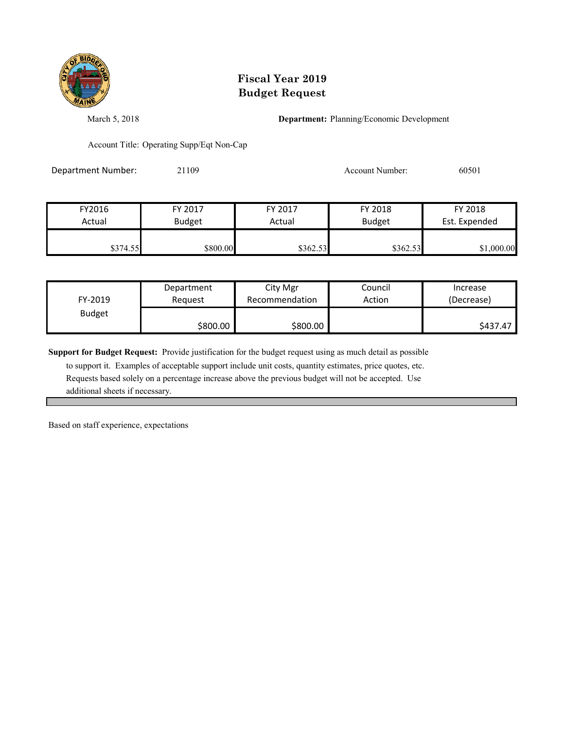

March 5, 2018 **Department:** Planning/Economic Development

Account Title: Operating Supp/Eqt Non-Cap

Department Number: 21109 2010 2010 2020 Account Number: 60501

| FY2016   | FY 2017       | FY 2017  | FY 2018       | FY 2018       |
|----------|---------------|----------|---------------|---------------|
| Actual   | <b>Budget</b> | Actual   | <b>Budget</b> | Est. Expended |
| \$374.55 | \$800.00      | \$362.53 | \$362.53      | \$1,000.00    |

| FY-2019       | Department | City Mgr       | Council | Increase   |
|---------------|------------|----------------|---------|------------|
|               | Reauest    | Recommendation | Action  | (Decrease) |
| <b>Budget</b> | \$800.00   | \$800.00       |         | \$437.47   |

**Support for Budget Request:** Provide justification for the budget request using as much detail as possible

 to support it. Examples of acceptable support include unit costs, quantity estimates, price quotes, etc. Requests based solely on a percentage increase above the previous budget will not be accepted. Use additional sheets if necessary.

Based on staff experience, expectations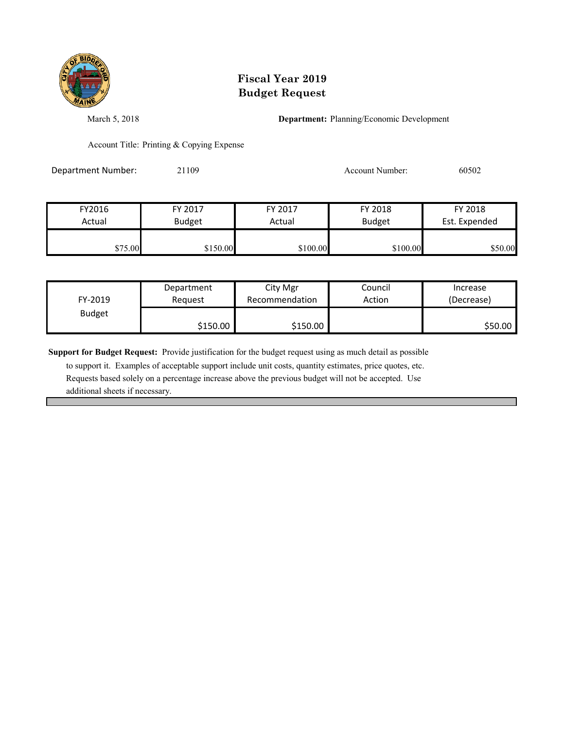

March 5, 2018 **Department:** Planning/Economic Development

Account Title: Printing & Copying Expense

Department Number: 21109 2010 2010 2021 Account Number: 60502

| FY2016  | FY 2017       | FY 2017  | FY 2018       | FY 2018       |
|---------|---------------|----------|---------------|---------------|
| Actual  | <b>Budget</b> | Actual   | <b>Budget</b> | Est. Expended |
| \$75.00 | \$150.00      | \$100.00 | \$100.00      | \$50.00       |

| FY-2019       | Department | City Mgr       | Council | Increase   |
|---------------|------------|----------------|---------|------------|
|               | Request    | Recommendation | Action  | (Decrease) |
| <b>Budget</b> | \$150.00   | \$150.00       |         | \$50.00    |

**Support for Budget Request:** Provide justification for the budget request using as much detail as possible